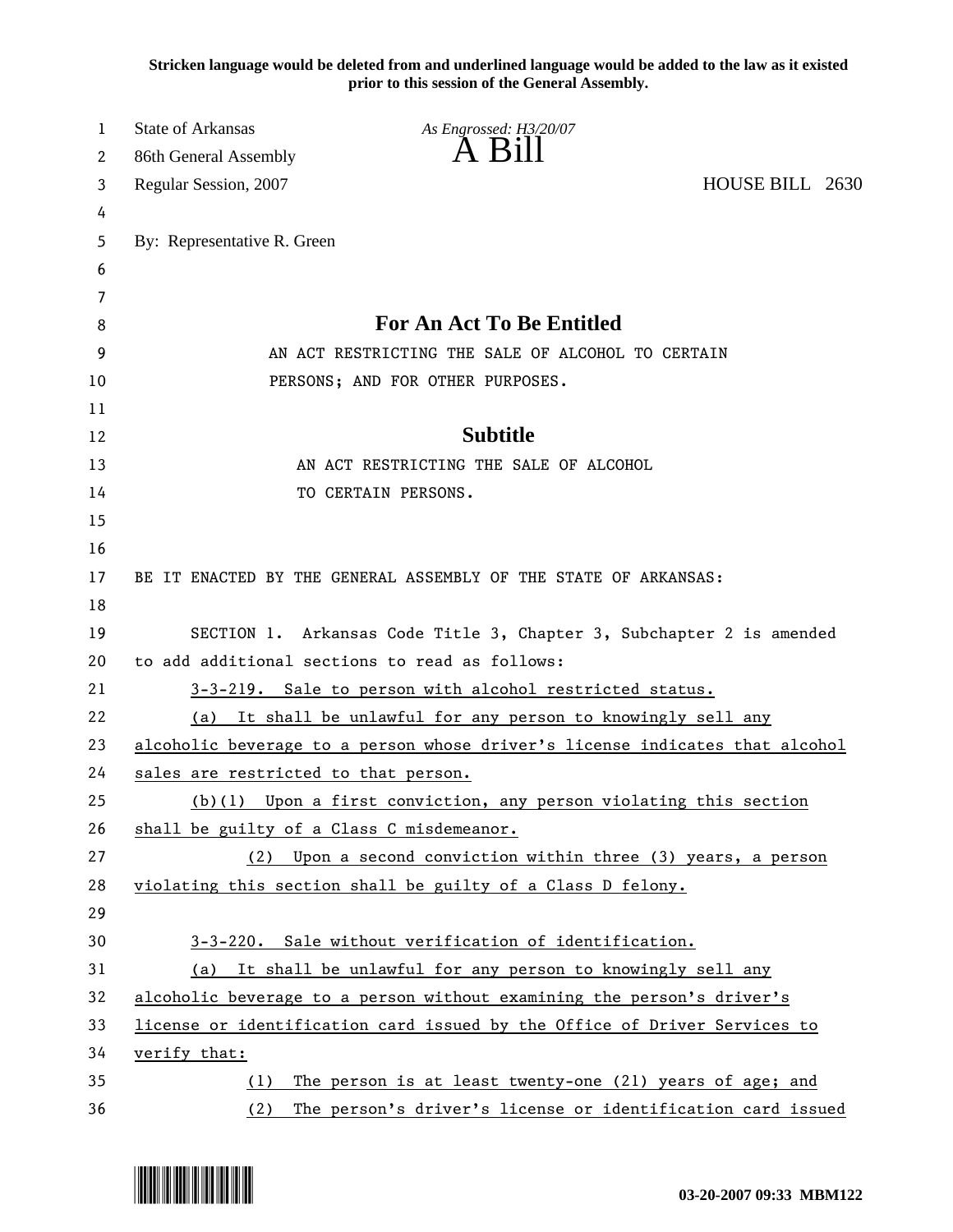**Stricken language would be deleted from and underlined language would be added to the law as it existed prior to this session of the General Assembly.**

| 1       | State of Arkansas                         | As Engrossed: H3/20/07                                                       |                 |
|---------|-------------------------------------------|------------------------------------------------------------------------------|-----------------|
| 2       | 86th General Assembly                     | $A$ $B1$                                                                     |                 |
| 3       | Regular Session, 2007                     |                                                                              | HOUSE BILL 2630 |
| 4       |                                           |                                                                              |                 |
| 5       | By: Representative R. Green               |                                                                              |                 |
| 6       |                                           |                                                                              |                 |
| 7       |                                           | <b>For An Act To Be Entitled</b>                                             |                 |
| 8       |                                           |                                                                              |                 |
| 9<br>10 |                                           | AN ACT RESTRICTING THE SALE OF ALCOHOL TO CERTAIN                            |                 |
| 11      |                                           | PERSONS; AND FOR OTHER PURPOSES.                                             |                 |
| 12      |                                           | <b>Subtitle</b>                                                              |                 |
| 13      |                                           | AN ACT RESTRICTING THE SALE OF ALCOHOL                                       |                 |
| 14      |                                           | TO CERTAIN PERSONS.                                                          |                 |
| 15      |                                           |                                                                              |                 |
| 16      |                                           |                                                                              |                 |
| 17      |                                           | BE IT ENACTED BY THE GENERAL ASSEMBLY OF THE STATE OF ARKANSAS:              |                 |
| 18      |                                           |                                                                              |                 |
| 19      |                                           | SECTION 1. Arkansas Code Title 3, Chapter 3, Subchapter 2 is amended         |                 |
| 20      |                                           | to add additional sections to read as follows:                               |                 |
| 21      |                                           | 3-3-219. Sale to person with alcohol restricted status.                      |                 |
| 22      | (a)                                       | It shall be unlawful for any person to knowingly sell any                    |                 |
| 23      |                                           | alcoholic beverage to a person whose driver's license indicates that alcohol |                 |
| 24      | sales are restricted to that person.      |                                                                              |                 |
| 25      |                                           | $(b)(1)$ Upon a first conviction, any person violating this section          |                 |
| 26      | shall be guilty of a Class C misdemeanor. |                                                                              |                 |
| 27      | (2)                                       | Upon a second conviction within three (3) years, a person                    |                 |
| 28      |                                           | violating this section shall be guilty of a Class D felony.                  |                 |
| 29      |                                           |                                                                              |                 |
| 30      |                                           | 3-3-220. Sale without verification of identification.                        |                 |
| 31      | (a)                                       | It shall be unlawful for any person to knowingly sell any                    |                 |
| 32      |                                           | alcoholic beverage to a person without examining the person's driver's       |                 |
| 33      |                                           | license or identification card issued by the Office of Driver Services to    |                 |
| 34      | verify that:                              |                                                                              |                 |
| 35      | (1)                                       | The person is at least twenty-one (21) years of age; and                     |                 |
| 36      | (2)                                       | The person's driver's license or identification card issued                  |                 |